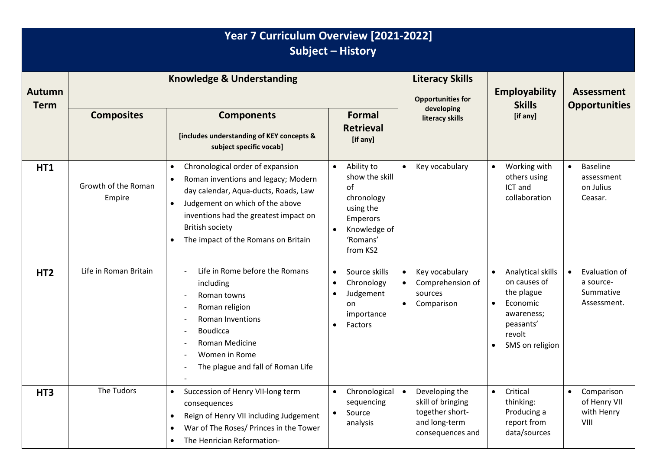| Year 7 Curriculum Overview [2021-2022]<br>Subject - History |                                      |                                                                                                                                                                                                                                                                                                                  |                                                                                                                                             |                                                                                                          |                                                                                                                                  |                                                                    |
|-------------------------------------------------------------|--------------------------------------|------------------------------------------------------------------------------------------------------------------------------------------------------------------------------------------------------------------------------------------------------------------------------------------------------------------|---------------------------------------------------------------------------------------------------------------------------------------------|----------------------------------------------------------------------------------------------------------|----------------------------------------------------------------------------------------------------------------------------------|--------------------------------------------------------------------|
| <b>Autumn</b><br><b>Term</b>                                | <b>Knowledge &amp; Understanding</b> |                                                                                                                                                                                                                                                                                                                  |                                                                                                                                             | <b>Literacy Skills</b><br><b>Opportunities for</b>                                                       | <b>Employability</b><br><b>Skills</b>                                                                                            | <b>Assessment</b><br><b>Opportunities</b>                          |
|                                                             | <b>Composites</b>                    | <b>Components</b><br>[includes understanding of KEY concepts &<br>subject specific vocab]                                                                                                                                                                                                                        | <b>Formal</b><br><b>Retrieval</b><br>[if any]                                                                                               | developing<br>literacy skills                                                                            | [if any]                                                                                                                         |                                                                    |
| HT1                                                         | Growth of the Roman<br>Empire        | Chronological order of expansion<br>$\bullet$<br>Roman inventions and legacy; Modern<br>$\bullet$<br>day calendar, Aqua-ducts, Roads, Law<br>Judgement on which of the above<br>$\bullet$<br>inventions had the greatest impact on<br><b>British society</b><br>The impact of the Romans on Britain<br>$\bullet$ | Ability to<br>$\bullet$<br>show the skill<br>οf<br>chronology<br>using the<br>Emperors<br>Knowledge of<br>$\bullet$<br>'Romans'<br>from KS2 | Key vocabulary                                                                                           | Working with<br>$\bullet$<br>others using<br>ICT and<br>collaboration                                                            | <b>Baseline</b><br>$\bullet$<br>assessment<br>on Julius<br>Ceasar. |
| HT <sub>2</sub>                                             | Life in Roman Britain                | Life in Rome before the Romans<br>including<br>Roman towns<br>Roman religion<br><b>Roman Inventions</b><br><b>Boudicca</b><br>Roman Medicine<br>Women in Rome<br>The plague and fall of Roman Life                                                                                                               | Source skills<br>$\bullet$<br>Chronology<br>$\bullet$<br>Judgement<br>$\bullet$<br>on<br>importance<br>Factors<br>$\bullet$                 | Key vocabulary<br>$\bullet$<br>Comprehension of<br>$\bullet$<br>sources<br>Comparison<br>$\bullet$       | Analytical skills<br>on causes of<br>the plague<br>Economic<br>awareness;<br>peasants'<br>revolt<br>SMS on religion<br>$\bullet$ | Evaluation of<br>a source-<br>Summative<br>Assessment.             |
| HT <sub>3</sub>                                             | The Tudors                           | Succession of Henry VII-long term<br>$\bullet$<br>consequences<br>Reign of Henry VII including Judgement<br>$\bullet$<br>War of The Roses/ Princes in the Tower<br>$\bullet$<br>The Henrician Reformation-<br>$\bullet$                                                                                          | Chronological<br>$\bullet$<br>sequencing<br>Source<br>$\bullet$<br>analysis                                                                 | Developing the<br>$\bullet$<br>skill of bringing<br>together short-<br>and long-term<br>consequences and | Critical<br>$\bullet$<br>thinking:<br>Producing a<br>report from<br>data/sources                                                 | Comparison<br>$\bullet$<br>of Henry VII<br>with Henry<br>VIII      |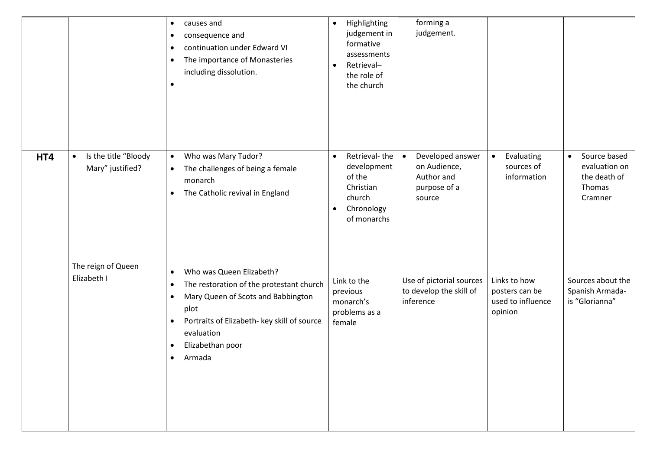|     |                                                       | causes and<br>$\bullet$<br>consequence and<br>٠<br>continuation under Edward VI<br>$\bullet$<br>The importance of Monasteries<br>$\bullet$<br>including dissolution.<br>$\bullet$                                                                                                           | Highlighting<br>$\bullet$<br>judgement in<br>formative<br>assessments<br>Retrieval-<br>$\bullet$<br>the role of<br>the church | forming a<br>judgement.                                                               |                                                                |                                                                                 |
|-----|-------------------------------------------------------|---------------------------------------------------------------------------------------------------------------------------------------------------------------------------------------------------------------------------------------------------------------------------------------------|-------------------------------------------------------------------------------------------------------------------------------|---------------------------------------------------------------------------------------|----------------------------------------------------------------|---------------------------------------------------------------------------------|
| HT4 | Is the title "Bloody<br>$\bullet$<br>Mary" justified? | Who was Mary Tudor?<br>$\bullet$<br>The challenges of being a female<br>$\bullet$<br>monarch<br>The Catholic revival in England<br>$\bullet$                                                                                                                                                | Retrieval-the<br>$\bullet$<br>development<br>of the<br>Christian<br>church<br>Chronology<br>$\bullet$<br>of monarchs          | Developed answer<br>$\bullet$<br>on Audience,<br>Author and<br>purpose of a<br>source | Evaluating<br>$\bullet$<br>sources of<br>information           | Source based<br>$\bullet$<br>evaluation on<br>the death of<br>Thomas<br>Cramner |
|     | The reign of Queen<br>Elizabeth I                     | Who was Queen Elizabeth?<br>$\bullet$<br>The restoration of the protestant church<br>$\bullet$<br>Mary Queen of Scots and Babbington<br>$\bullet$<br>plot<br>Portraits of Elizabeth- key skill of source<br>$\bullet$<br>evaluation<br>Elizabethan poor<br>$\bullet$<br>Armada<br>$\bullet$ | Link to the<br>previous<br>monarch's<br>problems as a<br>female                                                               | Use of pictorial sources<br>to develop the skill of<br>inference                      | Links to how<br>posters can be<br>used to influence<br>opinion | Sources about the<br>Spanish Armada-<br>is "Glorianna"                          |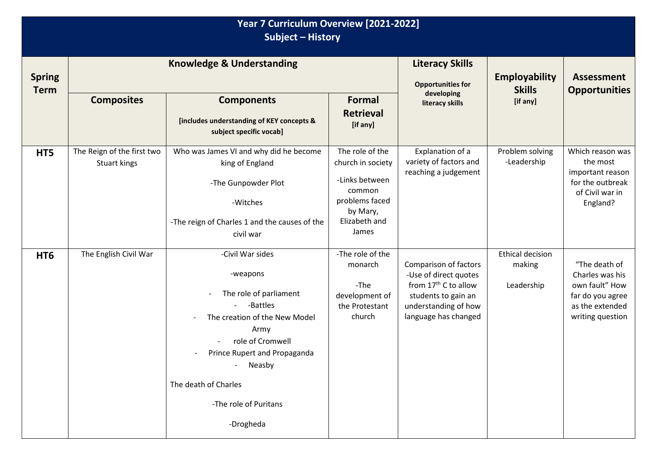| Year 7 Curriculum Overview [2021-2022]<br>Subject - History |                                            |                                                                                                                                                                                                                                         |                                                                                                                          |                                                                                                                                                           |                                                 |                                                                                                               |  |
|-------------------------------------------------------------|--------------------------------------------|-----------------------------------------------------------------------------------------------------------------------------------------------------------------------------------------------------------------------------------------|--------------------------------------------------------------------------------------------------------------------------|-----------------------------------------------------------------------------------------------------------------------------------------------------------|-------------------------------------------------|---------------------------------------------------------------------------------------------------------------|--|
| <b>Spring</b><br><b>Term</b>                                | <b>Knowledge &amp; Understanding</b>       |                                                                                                                                                                                                                                         |                                                                                                                          | <b>Literacy Skills</b><br><b>Opportunities for</b>                                                                                                        | <b>Employability</b><br><b>Skills</b>           | <b>Assessment</b><br><b>Opportunities</b>                                                                     |  |
|                                                             | <b>Composites</b>                          | <b>Components</b><br>[includes understanding of KEY concepts &<br>subject specific vocab]                                                                                                                                               | Formal<br><b>Retrieval</b><br>[if any]                                                                                   | developing<br>literacy skills                                                                                                                             | [if any]                                        |                                                                                                               |  |
| HT5                                                         | The Reign of the first two<br>Stuart kings | Who was James VI and why did he become<br>king of England<br>-The Gunpowder Plot<br>-Witches<br>-The reign of Charles 1 and the causes of the<br>civil war                                                                              | The role of the<br>church in society<br>-Links between<br>common<br>problems faced<br>by Mary,<br>Elizabeth and<br>James | Explanation of a<br>variety of factors and<br>reaching a judgement                                                                                        | Problem solving<br>-Leadership                  | Which reason was<br>the most<br>important reason<br>for the outbreak<br>of Civil war in<br>England?           |  |
| HT <sub>6</sub>                                             | The English Civil War                      | -Civil War sides<br>-weapons<br>The role of parliament<br>-Battles<br>The creation of the New Model<br>Army<br>role of Cromwell<br>Prince Rupert and Propaganda<br>Neasby<br>The death of Charles<br>-The role of Puritans<br>-Drogheda | -The role of the<br>monarch<br>-The<br>development of<br>the Protestant<br>church                                        | Comparison of factors<br>-Use of direct quotes<br>from 17 <sup>th</sup> C to allow<br>students to gain an<br>understanding of how<br>language has changed | <b>Ethical decision</b><br>making<br>Leadership | "The death of<br>Charles was his<br>own fault" How<br>far do you agree<br>as the extended<br>writing question |  |